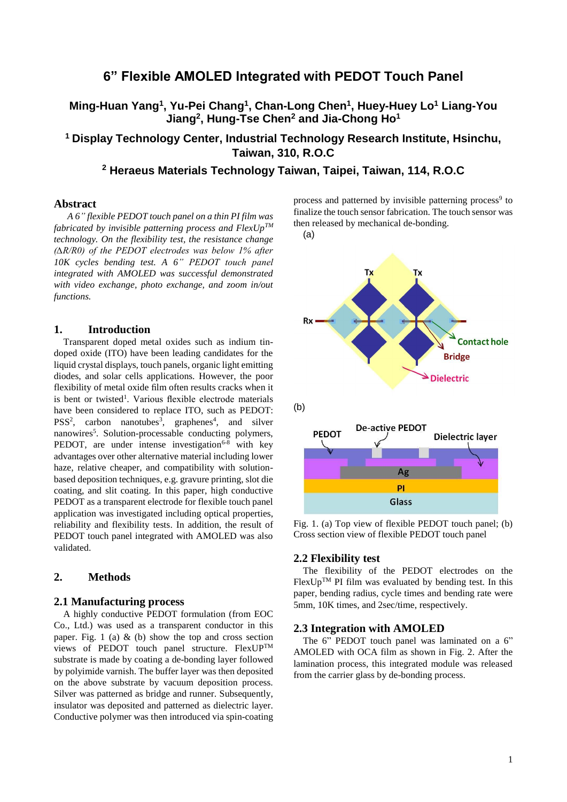# **6" Flexible AMOLED Integrated with PEDOT Touch Panel**

**Ming-Huan Yang<sup>1</sup> , Yu-Pei Chang<sup>1</sup> , Chan-Long Chen<sup>1</sup> , Huey-Huey Lo<sup>1</sup> Liang-You Jiang<sup>2</sup> , Hung-Tse Chen<sup>2</sup> and Jia-Chong Ho<sup>1</sup>**

**<sup>1</sup> Display Technology Center, Industrial Technology Research Institute, Hsinchu, Taiwan, 310, R.O.C**

# **<sup>2</sup> Heraeus Materials Technology Taiwan, Taipei, Taiwan, 114, R.O.C**

## **Abstract**

*A 6" flexible PEDOT touch panel on a thin PI film was fabricated by invisible patterning process and FlexUpTM technology. On the flexibility test, the resistance change (∆R/R0) of the PEDOT electrodes was below 1% after 10K cycles bending test. A 6" PEDOT touch panel integrated with AMOLED was successful demonstrated with video exchange, photo exchange, and zoom in/out functions.*

### **1. Introduction**

Transparent doped metal oxides such as indium tindoped oxide (ITO) have been leading candidates for the liquid crystal displays, touch panels, organic light emitting diodes, and solar cells applications. However, the poor flexibility of metal oxide film often results cracks when it is bent or twisted<sup>1</sup>. Various flexible electrode materials have been considered to replace ITO, such as PEDOT:  $PSS<sup>2</sup>$ , carbon nanotubes<sup>3</sup>, graphenes<sup>4</sup>, and silver nanowires<sup>5</sup>. Solution-processable conducting polymers, PEDOT, are under intense investigation $6-8$  with key advantages over other alternative material including lower haze, relative cheaper, and compatibility with solutionbased deposition techniques, e.g. gravure printing, slot die coating, and slit coating. In this paper, high conductive PEDOT as a transparent electrode for flexible touch panel application was investigated including optical properties, reliability and flexibility tests. In addition, the result of PEDOT touch panel integrated with AMOLED was also validated.

### **2. Methods**

## **2.1 Manufacturing process**

A highly conductive PEDOT formulation (from EOC Co., Ltd.) was used as a transparent conductor in this paper. Fig. 1 (a)  $&$  (b) show the top and cross section views of PEDOT touch panel structure. FlexUPTM substrate is made by coating a de-bonding layer followed by polyimide varnish. The buffer layer was then deposited on the above substrate by vacuum deposition process. Silver was patterned as bridge and runner. Subsequently, insulator was deposited and patterned as dielectric layer. Conductive polymer was then introduced via spin-coating

process and patterned by invisible patterning process<sup>9</sup> to finalize the touch sensor fabrication. The touch sensor was then released by mechanical de-bonding.



Fig. 1. (a) Top view of flexible PEDOT touch panel; (b) Cross section view of flexible PEDOT touch panel

Glass

#### **2.2 Flexibility test**

The flexibility of the PEDOT electrodes on the  $FlexUp^{TM}$  PI film was evaluated by bending test. In this paper, bending radius, cycle times and bending rate were 5mm, 10K times, and 2sec/time, respectively.

#### **2.3 Integration with AMOLED**

The 6" PEDOT touch panel was laminated on a 6" AMOLED with OCA film as shown in Fig. 2. After the lamination process, this integrated module was released from the carrier glass by de-bonding process.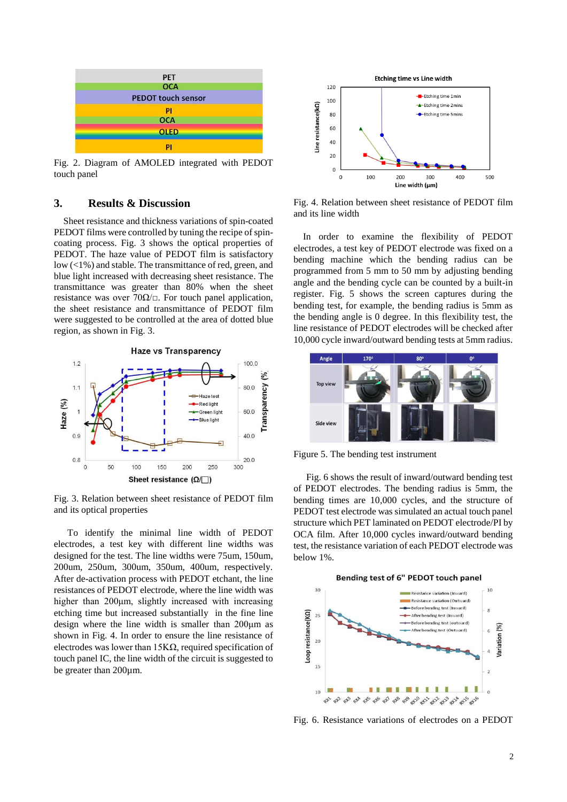

Fig. 2. Diagram of AMOLED integrated with PEDOT touch panel

## **3. Results & Discussion**

Sheet resistance and thickness variations of spin-coated PEDOT films were controlled by tuning the recipe of spincoating process. Fig. 3 shows the optical properties of PEDOT. The haze value of PEDOT film is satisfactory low  $\left($ <1%) and stable. The transmittance of red, green, and blue light increased with decreasing sheet resistance. The transmittance was greater than 80% when the sheet resistance was over  $70\Omega/\Box$ . For touch panel application, the sheet resistance and transmittance of PEDOT film were suggested to be controlled at the area of dotted blue region, as shown in Fig. 3.



Fig. 3. Relation between sheet resistance of PEDOT film and its optical properties

To identify the minimal line width of PEDOT electrodes, a test key with different line widths was designed for the test. The line widths were 75um, 150um, 200um, 250um, 300um, 350um, 400um, respectively. After de-activation process with PEDOT etchant, the line resistances of PEDOT electrode, where the line width was higher than 200μm, slightly increased with increasing etching time but increased substantially in the fine line design where the line width is smaller than 200μm as shown in Fig. 4. In order to ensure the line resistance of electrodes was lower than  $15K\Omega$ , required specification of touch panel IC, the line width of the circuit is suggested to be greater than 200µm.



Fig. 4. Relation between sheet resistance of PEDOT film and its line width

In order to examine the flexibility of PEDOT electrodes, a test key of PEDOT electrode was fixed on a bending machine which the bending radius can be programmed from 5 mm to 50 mm by adjusting bending angle and the bending cycle can be counted by a built-in register. Fig. 5 shows the screen captures during the bending test, for example, the bending radius is 5mm as the bending angle is 0 degree. In this flexibility test, the line resistance of PEDOT electrodes will be checked after 10,000 cycle inward/outward bending tests at 5mm radius.



Figure 5. The bending test instrument

 Fig. 6 shows the result of inward/outward bending test of PEDOT electrodes. The bending radius is 5mm, the bending times are 10,000 cycles, and the structure of PEDOT test electrode was simulated an actual touch panel structure which PET laminated on PEDOT electrode/PI by OCA film. After 10,000 cycles inward/outward bending test, the resistance variation of each PEDOT electrode was below 1%.



Fig. 6. Resistance variations of electrodes on a PEDOT